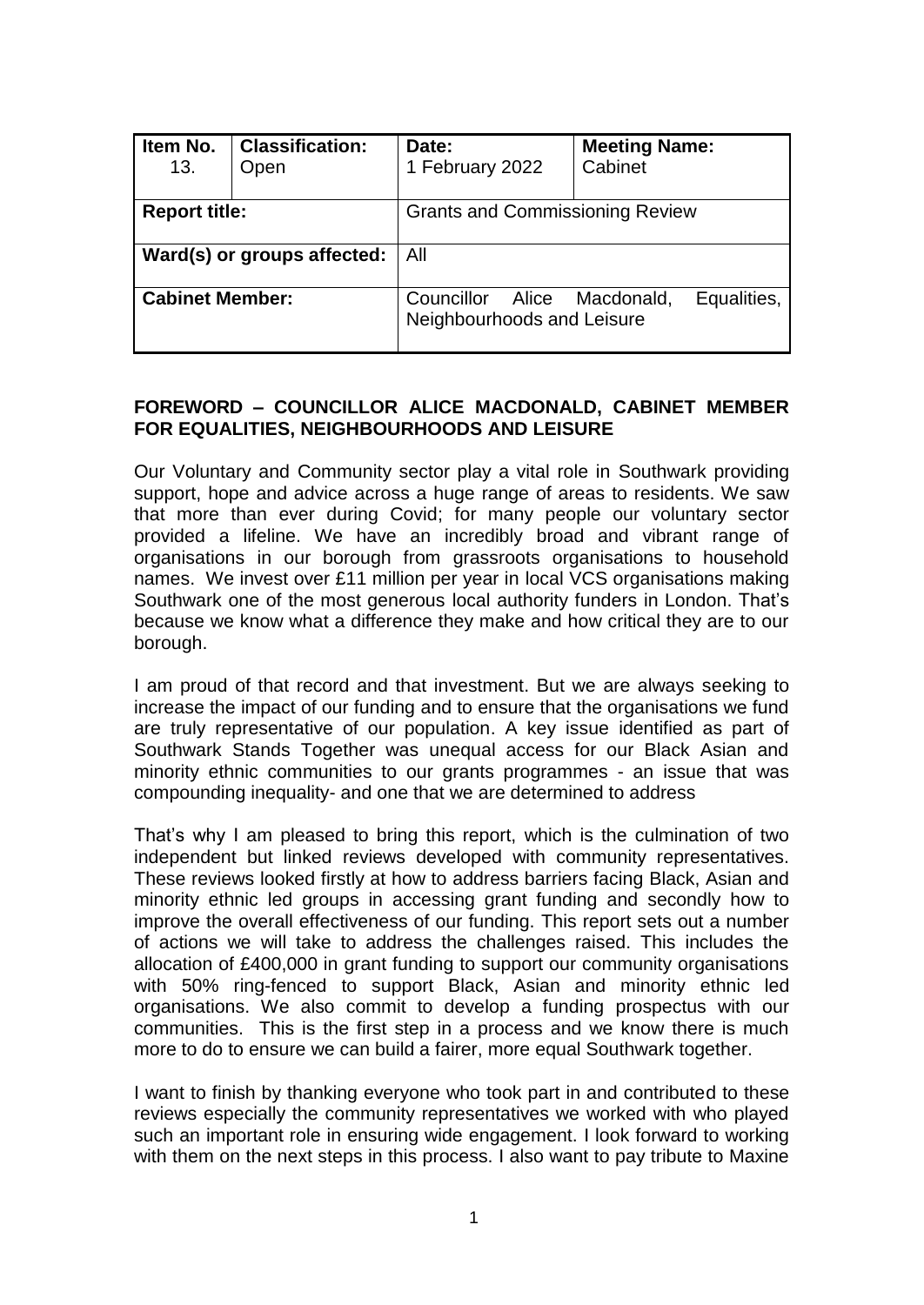| Item No.<br>13.             | <b>Classification:</b><br>Open | Date:<br>1 February 2022                          | <b>Meeting Name:</b><br>Cabinet |  |
|-----------------------------|--------------------------------|---------------------------------------------------|---------------------------------|--|
| <b>Report title:</b>        |                                | <b>Grants and Commissioning Review</b>            |                                 |  |
| Ward(s) or groups affected: |                                | All                                               |                                 |  |
| <b>Cabinet Member:</b>      |                                | Councillor<br>Alice<br>Neighbourhoods and Leisure | Equalities,<br>Macdonald,       |  |

### **FOREWORD – COUNCILLOR ALICE MACDONALD, CABINET MEMBER FOR EQUALITIES, NEIGHBOURHOODS AND LEISURE**

Our Voluntary and Community sector play a vital role in Southwark providing support, hope and advice across a huge range of areas to residents. We saw that more than ever during Covid; for many people our voluntary sector provided a lifeline. We have an incredibly broad and vibrant range of organisations in our borough from grassroots organisations to household names. We invest over £11 million per year in local VCS organisations making Southwark one of the most generous local authority funders in London. That's because we know what a difference they make and how critical they are to our borough.

I am proud of that record and that investment. But we are always seeking to increase the impact of our funding and to ensure that the organisations we fund are truly representative of our population. A key issue identified as part of Southwark Stands Together was unequal access for our Black Asian and minority ethnic communities to our grants programmes - an issue that was compounding inequality- and one that we are determined to address

That's why I am pleased to bring this report, which is the culmination of two independent but linked reviews developed with community representatives. These reviews looked firstly at how to address barriers facing Black, Asian and minority ethnic led groups in accessing grant funding and secondly how to improve the overall effectiveness of our funding. This report sets out a number of actions we will take to address the challenges raised. This includes the allocation of £400,000 in grant funding to support our community organisations with 50% ring-fenced to support Black, Asian and minority ethnic led organisations. We also commit to develop a funding prospectus with our communities. This is the first step in a process and we know there is much more to do to ensure we can build a fairer, more equal Southwark together.

I want to finish by thanking everyone who took part in and contributed to these reviews especially the community representatives we worked with who played such an important role in ensuring wide engagement. I look forward to working with them on the next steps in this process. I also want to pay tribute to Maxine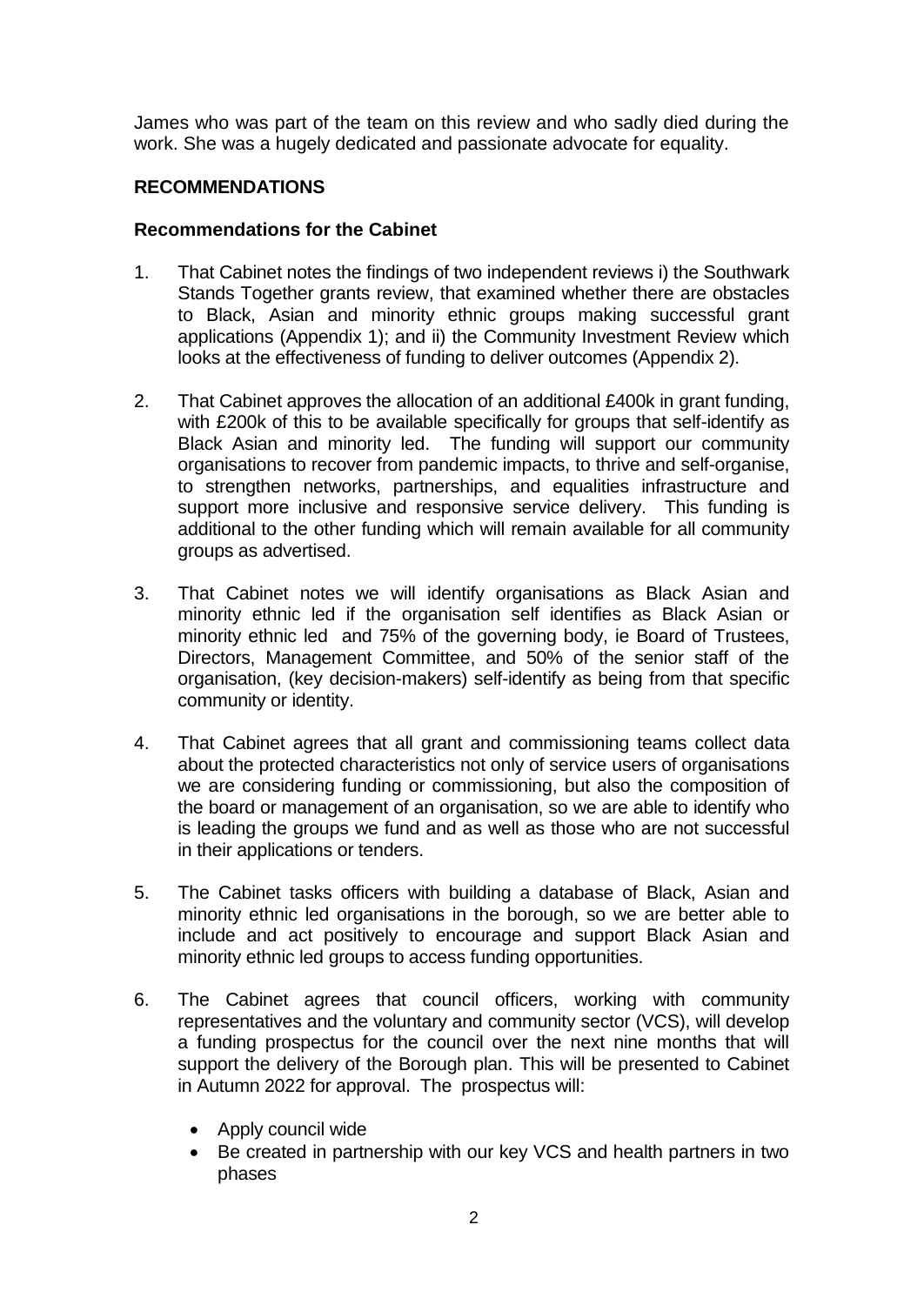James who was part of the team on this review and who sadly died during the work. She was a hugely dedicated and passionate advocate for equality.

### **RECOMMENDATIONS**

### **Recommendations for the Cabinet**

- 1. That Cabinet notes the findings of two independent reviews i) the Southwark Stands Together grants review, that examined whether there are obstacles to Black, Asian and minority ethnic groups making successful grant applications (Appendix 1); and ii) the Community Investment Review which looks at the effectiveness of funding to deliver outcomes (Appendix 2).
- 2. That Cabinet approves the allocation of an additional £400k in grant funding, with £200k of this to be available specifically for groups that self-identify as Black Asian and minority led. The funding will support our community organisations to recover from pandemic impacts, to thrive and self-organise, to strengthen networks, partnerships, and equalities infrastructure and support more inclusive and responsive service delivery. This funding is additional to the other funding which will remain available for all community groups as advertised.
- 3. That Cabinet notes we will identify organisations as Black Asian and minority ethnic led if the organisation self identifies as Black Asian or minority ethnic led and 75% of the governing body, ie Board of Trustees, Directors, Management Committee, and 50% of the senior staff of the organisation, (key decision-makers) self-identify as being from that specific community or identity.
- 4. That Cabinet agrees that all grant and commissioning teams collect data about the protected characteristics not only of service users of organisations we are considering funding or commissioning, but also the composition of the board or management of an organisation, so we are able to identify who is leading the groups we fund and as well as those who are not successful in their applications or tenders.
- 5. The Cabinet tasks officers with building a database of Black, Asian and minority ethnic led organisations in the borough, so we are better able to include and act positively to encourage and support Black Asian and minority ethnic led groups to access funding opportunities.
- 6. The Cabinet agrees that council officers, working with community representatives and the voluntary and community sector (VCS), will develop a funding prospectus for the council over the next nine months that will support the delivery of the Borough plan. This will be presented to Cabinet in Autumn 2022 for approval. The prospectus will:
	- Apply council wide
	- Be created in partnership with our key VCS and health partners in two phases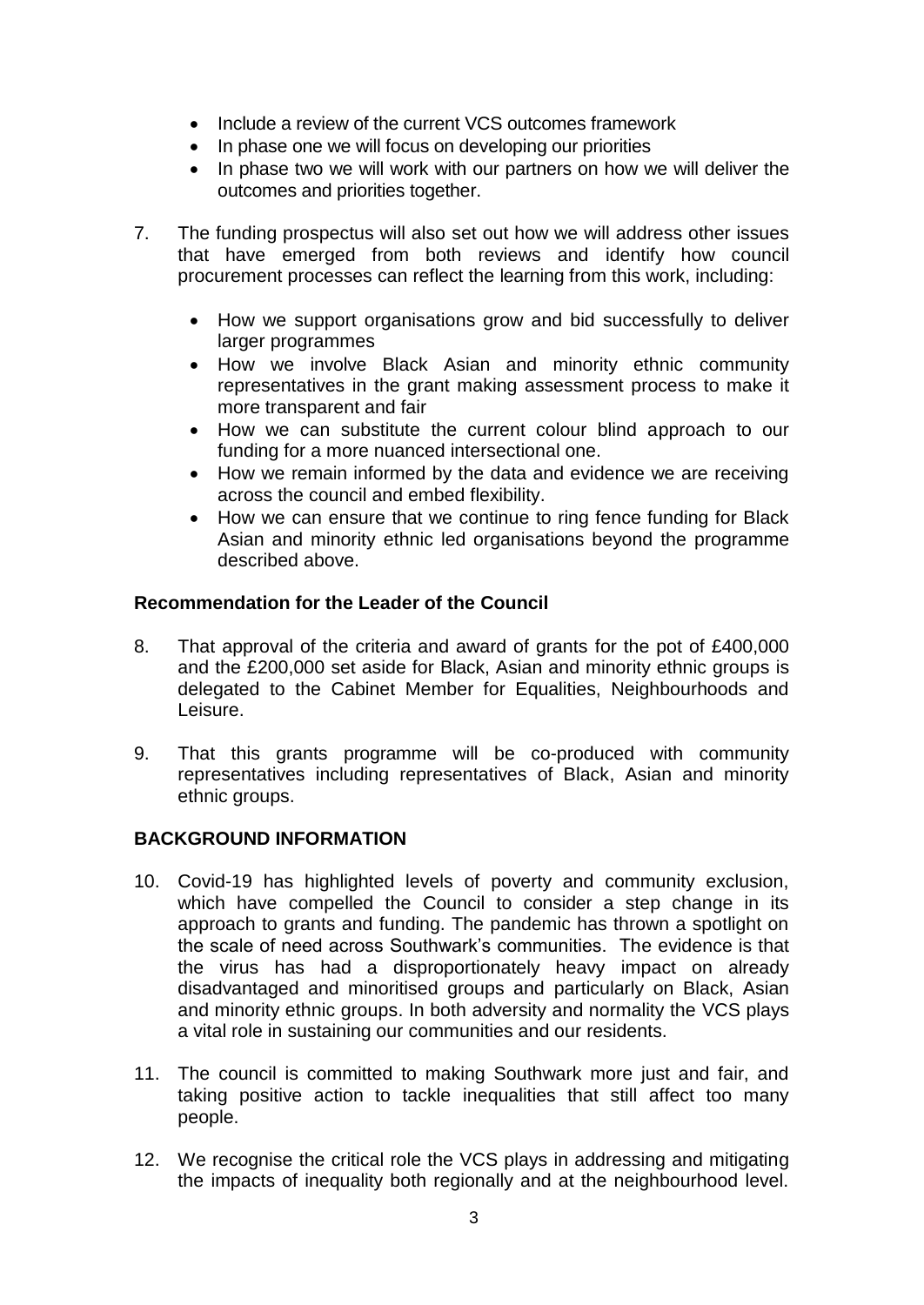- Include a review of the current VCS outcomes framework
- In phase one we will focus on developing our priorities
- In phase two we will work with our partners on how we will deliver the outcomes and priorities together.
- 7. The funding prospectus will also set out how we will address other issues that have emerged from both reviews and identify how council procurement processes can reflect the learning from this work, including:
	- How we support organisations grow and bid successfully to deliver larger programmes
	- How we involve Black Asian and minority ethnic community representatives in the grant making assessment process to make it more transparent and fair
	- How we can substitute the current colour blind approach to our funding for a more nuanced intersectional one.
	- How we remain informed by the data and evidence we are receiving across the council and embed flexibility.
	- How we can ensure that we continue to ring fence funding for Black Asian and minority ethnic led organisations beyond the programme described above.

### **Recommendation for the Leader of the Council**

- 8. That approval of the criteria and award of grants for the pot of £400,000 and the £200,000 set aside for Black, Asian and minority ethnic groups is delegated to the Cabinet Member for Equalities, Neighbourhoods and Leisure.
- 9. That this grants programme will be co-produced with community representatives including representatives of Black, Asian and minority ethnic groups.

## **BACKGROUND INFORMATION**

- 10. Covid-19 has highlighted levels of poverty and community exclusion, which have compelled the Council to consider a step change in its approach to grants and funding. The pandemic has thrown a spotlight on the scale of need across Southwark's communities. The evidence is that the virus has had a disproportionately heavy impact on already disadvantaged and minoritised groups and particularly on Black, Asian and minority ethnic groups. In both adversity and normality the VCS plays a vital role in sustaining our communities and our residents.
- 11. The council is committed to making Southwark more just and fair, and taking positive action to tackle inequalities that still affect too many people.
- 12. We recognise the critical role the VCS plays in addressing and mitigating the impacts of inequality both regionally and at the neighbourhood level.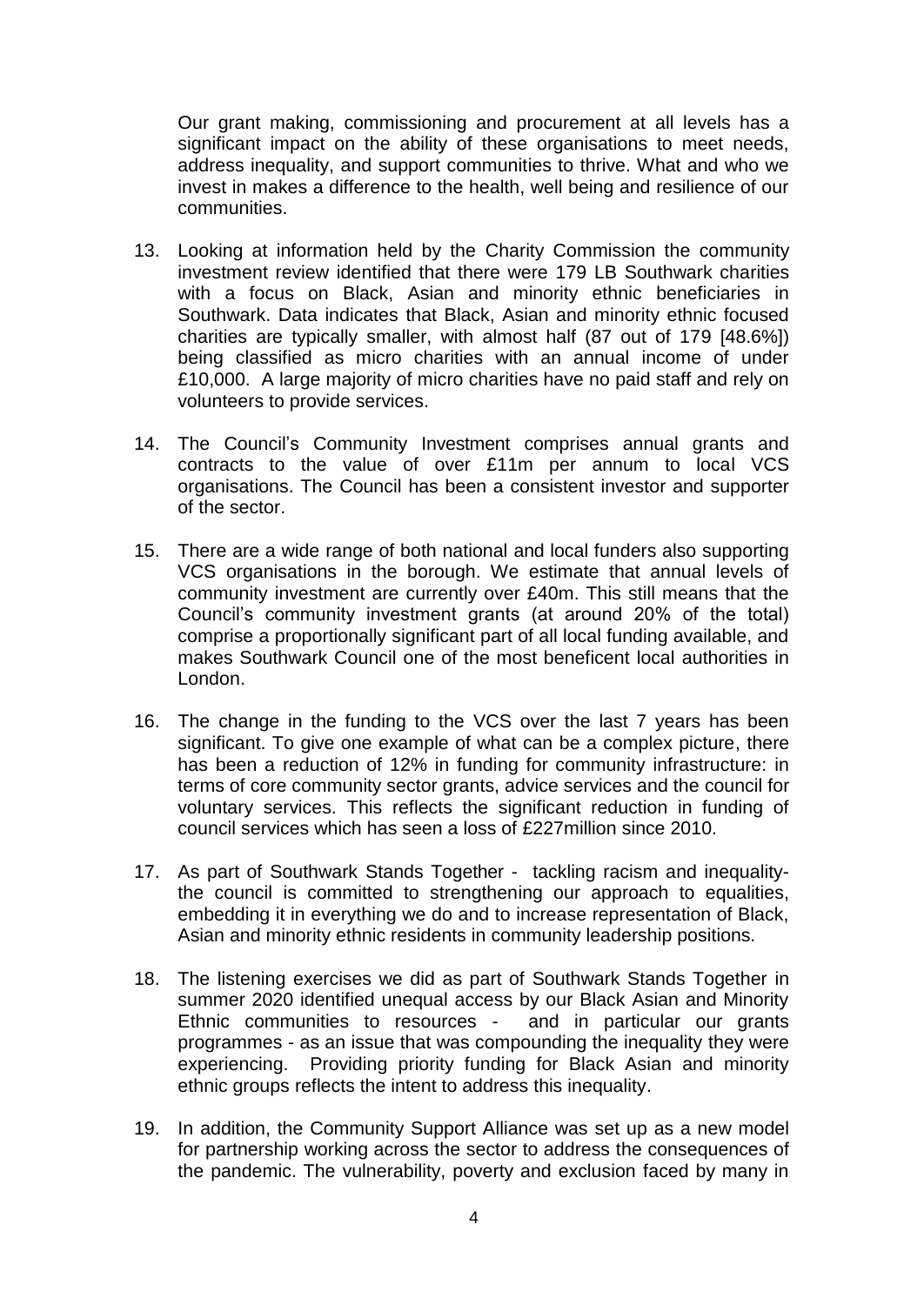Our grant making, commissioning and procurement at all levels has a significant impact on the ability of these organisations to meet needs, address inequality, and support communities to thrive. What and who we invest in makes a difference to the health, well being and resilience of our communities.

- 13. Looking at information held by the Charity Commission the community investment review identified that there were 179 LB Southwark charities with a focus on Black, Asian and minority ethnic beneficiaries in Southwark. Data indicates that Black, Asian and minority ethnic focused charities are typically smaller, with almost half (87 out of 179 [48.6%]) being classified as micro charities with an annual income of under £10,000. A large majority of micro charities have no paid staff and rely on volunteers to provide services.
- 14. The Council's Community Investment comprises annual grants and contracts to the value of over £11m per annum to local VCS organisations. The Council has been a consistent investor and supporter of the sector.
- 15. There are a wide range of both national and local funders also supporting VCS organisations in the borough. We estimate that annual levels of community investment are currently over £40m. This still means that the Council's community investment grants (at around 20% of the total) comprise a proportionally significant part of all local funding available, and makes Southwark Council one of the most beneficent local authorities in London.
- 16. The change in the funding to the VCS over the last 7 years has been significant. To give one example of what can be a complex picture, there has been a reduction of 12% in funding for community infrastructure: in terms of core community sector grants, advice services and the council for voluntary services. This reflects the significant reduction in funding of council services which has seen a loss of £227million since 2010.
- 17. As part of Southwark Stands Together tackling racism and inequalitythe council is committed to strengthening our approach to equalities, embedding it in everything we do and to increase representation of Black, Asian and minority ethnic residents in community leadership positions.
- 18. The listening exercises we did as part of Southwark Stands Together in summer 2020 identified unequal access by our Black Asian and Minority Ethnic communities to resources - and in particular our grants programmes - as an issue that was compounding the inequality they were experiencing. Providing priority funding for Black Asian and minority ethnic groups reflects the intent to address this inequality.
- 19. In addition, the Community Support Alliance was set up as a new model for partnership working across the sector to address the consequences of the pandemic. The vulnerability, poverty and exclusion faced by many in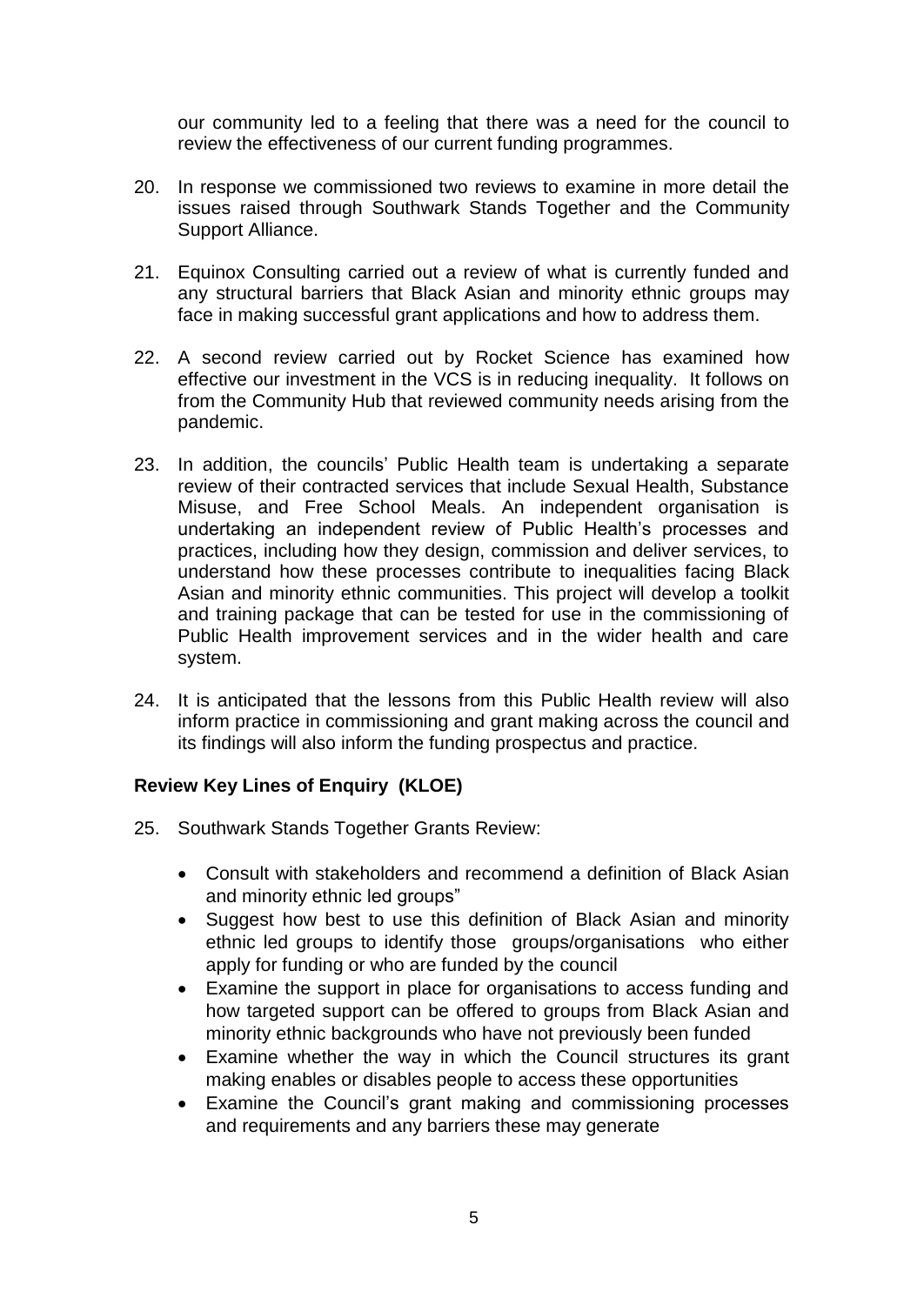our community led to a feeling that there was a need for the council to review the effectiveness of our current funding programmes.

- 20. In response we commissioned two reviews to examine in more detail the issues raised through Southwark Stands Together and the Community Support Alliance.
- 21. Equinox Consulting carried out a review of what is currently funded and any structural barriers that Black Asian and minority ethnic groups may face in making successful grant applications and how to address them.
- 22. A second review carried out by Rocket Science has examined how effective our investment in the VCS is in reducing inequality. It follows on from the Community Hub that reviewed community needs arising from the pandemic.
- 23. In addition, the councils' Public Health team is undertaking a separate review of their contracted services that include Sexual Health, Substance Misuse, and Free School Meals. An independent organisation is undertaking an independent review of Public Health's processes and practices, including how they design, commission and deliver services, to understand how these processes contribute to inequalities facing Black Asian and minority ethnic communities. This project will develop a toolkit and training package that can be tested for use in the commissioning of Public Health improvement services and in the wider health and care system.
- 24. It is anticipated that the lessons from this Public Health review will also inform practice in commissioning and grant making across the council and its findings will also inform the funding prospectus and practice.

## **Review Key Lines of Enquiry (KLOE)**

- 25. Southwark Stands Together Grants Review:
	- Consult with stakeholders and recommend a definition of Black Asian and minority ethnic led groups"
	- Suggest how best to use this definition of Black Asian and minority ethnic led groups to identify those groups/organisations who either apply for funding or who are funded by the council
	- Examine the support in place for organisations to access funding and how targeted support can be offered to groups from Black Asian and minority ethnic backgrounds who have not previously been funded
	- Examine whether the way in which the Council structures its grant making enables or disables people to access these opportunities
	- Examine the Council's grant making and commissioning processes and requirements and any barriers these may generate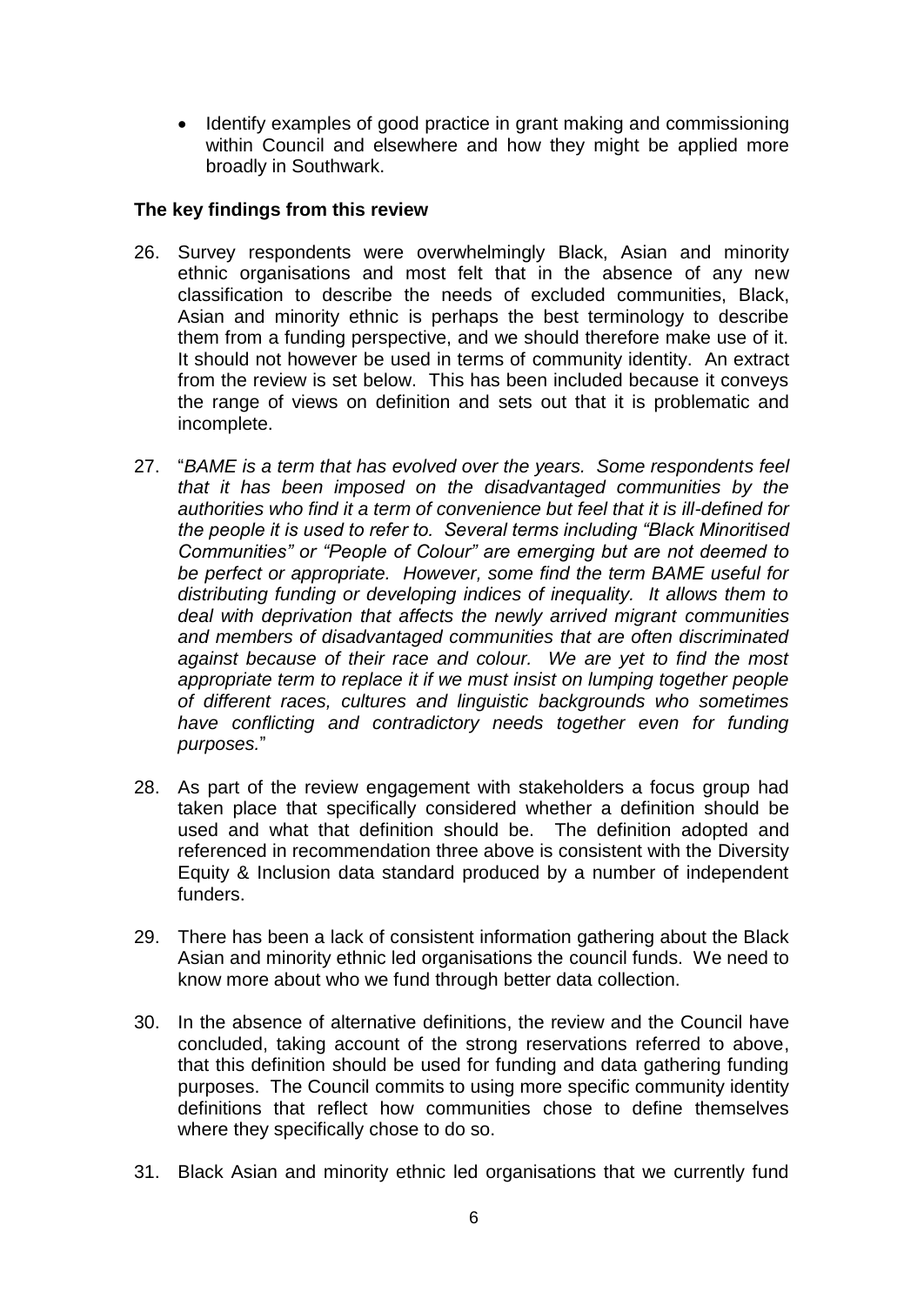• Identify examples of good practice in grant making and commissioning within Council and elsewhere and how they might be applied more broadly in Southwark.

### **The key findings from this review**

- 26. Survey respondents were overwhelmingly Black, Asian and minority ethnic organisations and most felt that in the absence of any new classification to describe the needs of excluded communities, Black, Asian and minority ethnic is perhaps the best terminology to describe them from a funding perspective, and we should therefore make use of it. It should not however be used in terms of community identity. An extract from the review is set below. This has been included because it conveys the range of views on definition and sets out that it is problematic and incomplete.
- 27. "*BAME is a term that has evolved over the years. Some respondents feel that it has been imposed on the disadvantaged communities by the authorities who find it a term of convenience but feel that it is ill-defined for the people it is used to refer to. Several terms including "Black Minoritised Communities" or "People of Colour" are emerging but are not deemed to be perfect or appropriate. However, some find the term BAME useful for distributing funding or developing indices of inequality. It allows them to deal with deprivation that affects the newly arrived migrant communities and members of disadvantaged communities that are often discriminated against because of their race and colour. We are yet to find the most appropriate term to replace it if we must insist on lumping together people of different races, cultures and linguistic backgrounds who sometimes have conflicting and contradictory needs together even for funding purposes.*"
- 28. As part of the review engagement with stakeholders a focus group had taken place that specifically considered whether a definition should be used and what that definition should be. The definition adopted and referenced in recommendation three above is consistent with the Diversity Equity & Inclusion data standard produced by a number of independent funders.
- 29. There has been a lack of consistent information gathering about the Black Asian and minority ethnic led organisations the council funds. We need to know more about who we fund through better data collection.
- 30. In the absence of alternative definitions, the review and the Council have concluded, taking account of the strong reservations referred to above, that this definition should be used for funding and data gathering funding purposes. The Council commits to using more specific community identity definitions that reflect how communities chose to define themselves where they specifically chose to do so.
- 31. Black Asian and minority ethnic led organisations that we currently fund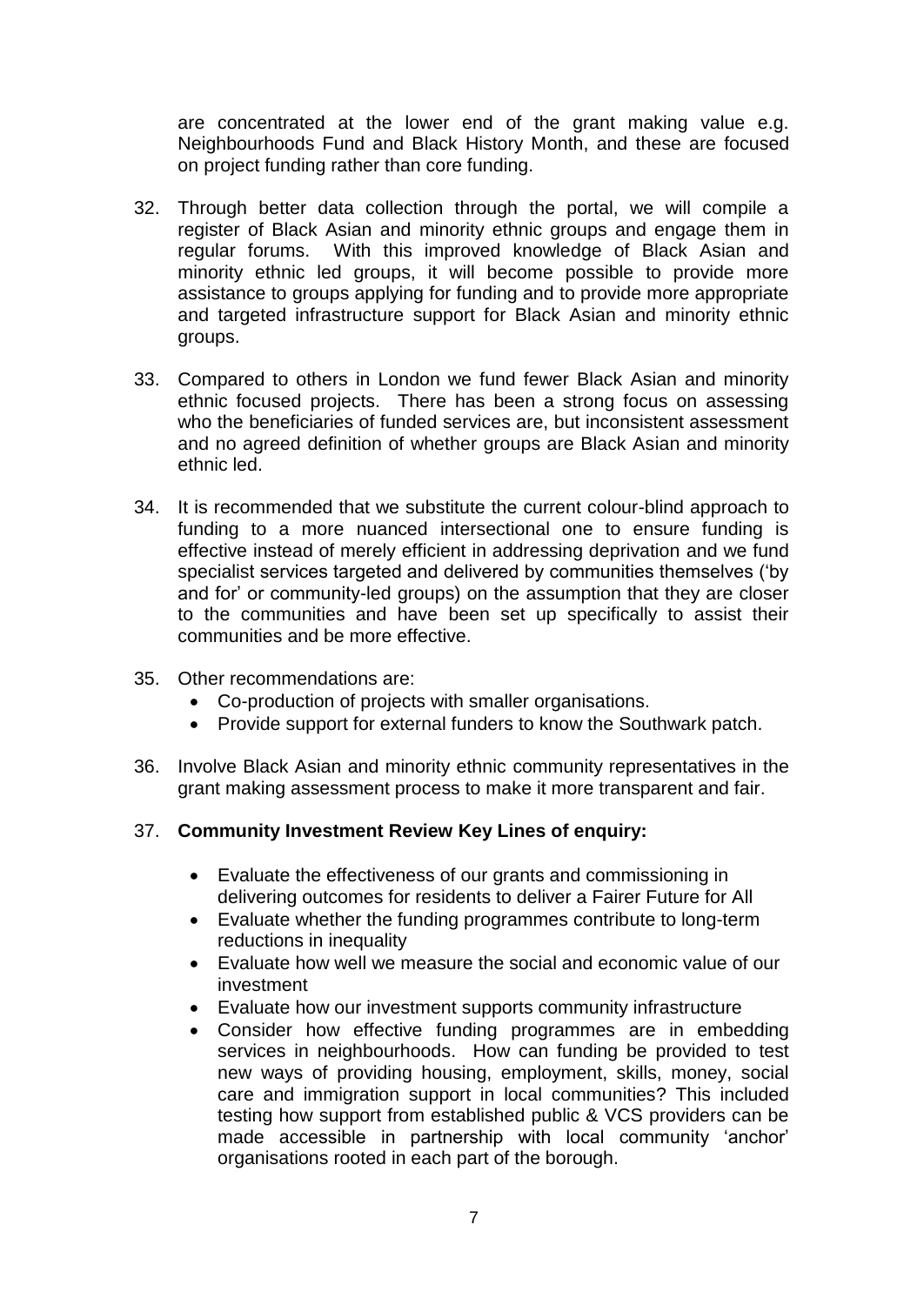are concentrated at the lower end of the grant making value e.g. Neighbourhoods Fund and Black History Month, and these are focused on project funding rather than core funding.

- 32. Through better data collection through the portal, we will compile a register of Black Asian and minority ethnic groups and engage them in regular forums. With this improved knowledge of Black Asian and minority ethnic led groups, it will become possible to provide more assistance to groups applying for funding and to provide more appropriate and targeted infrastructure support for Black Asian and minority ethnic groups.
- 33. Compared to others in London we fund fewer Black Asian and minority ethnic focused projects. There has been a strong focus on assessing who the beneficiaries of funded services are, but inconsistent assessment and no agreed definition of whether groups are Black Asian and minority ethnic led.
- 34. It is recommended that we substitute the current colour-blind approach to funding to a more nuanced intersectional one to ensure funding is effective instead of merely efficient in addressing deprivation and we fund specialist services targeted and delivered by communities themselves ('by and for' or community-led groups) on the assumption that they are closer to the communities and have been set up specifically to assist their communities and be more effective.
- 35. Other recommendations are:
	- Co-production of projects with smaller organisations.
	- Provide support for external funders to know the Southwark patch.
- 36. Involve Black Asian and minority ethnic community representatives in the grant making assessment process to make it more transparent and fair.

#### 37. **Community Investment Review Key Lines of enquiry:**

- Evaluate the effectiveness of our grants and commissioning in delivering outcomes for residents to deliver a Fairer Future for All
- Evaluate whether the funding programmes contribute to long-term reductions in inequality
- Evaluate how well we measure the social and economic value of our investment
- Evaluate how our investment supports community infrastructure
- Consider how effective funding programmes are in embedding services in neighbourhoods. How can funding be provided to test new ways of providing housing, employment, skills, money, social care and immigration support in local communities? This included testing how support from established public & VCS providers can be made accessible in partnership with local community 'anchor' organisations rooted in each part of the borough.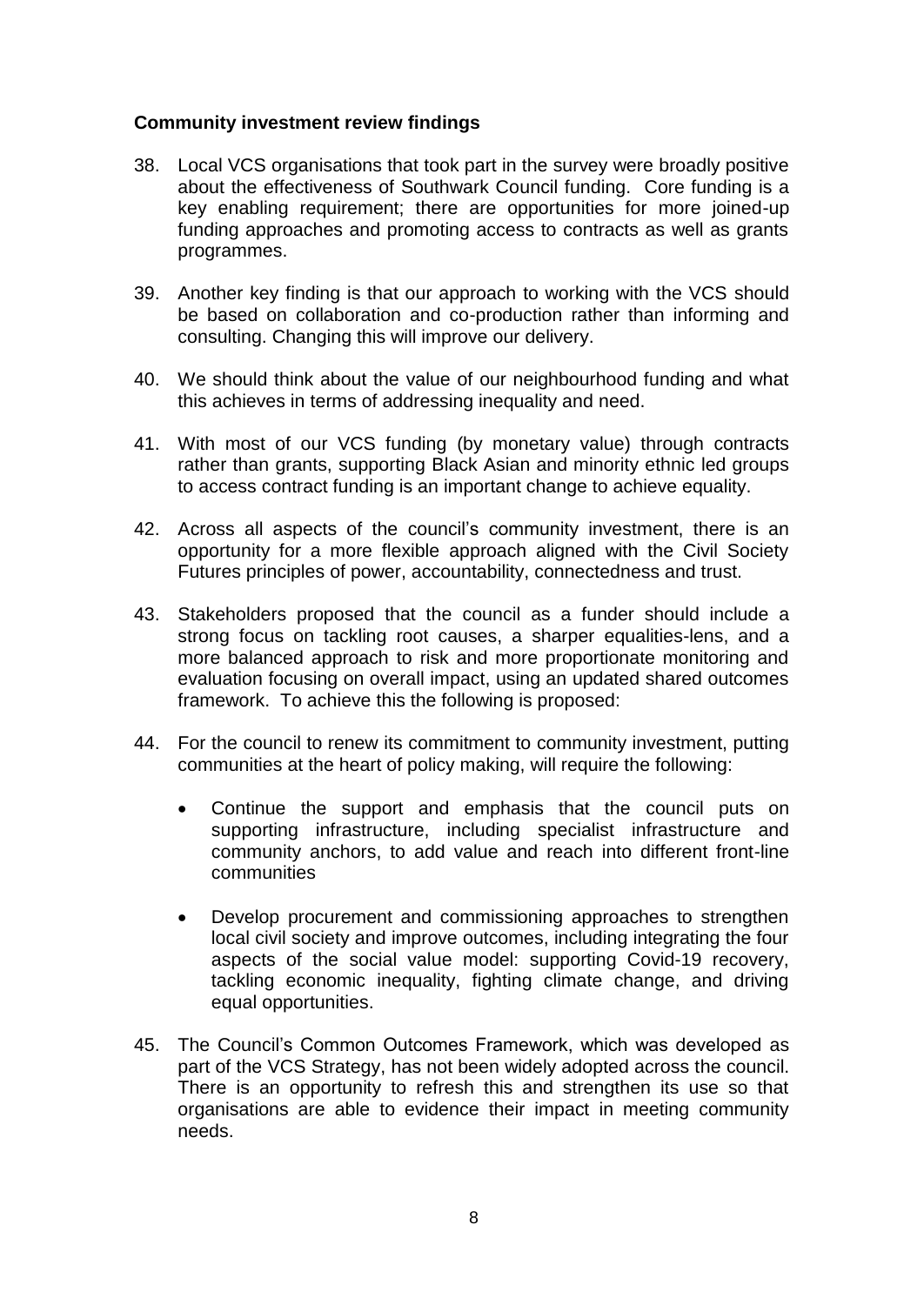### **Community investment review findings**

- 38. Local VCS organisations that took part in the survey were broadly positive about the effectiveness of Southwark Council funding. Core funding is a key enabling requirement; there are opportunities for more joined-up funding approaches and promoting access to contracts as well as grants programmes.
- 39. Another key finding is that our approach to working with the VCS should be based on collaboration and co-production rather than informing and consulting. Changing this will improve our delivery.
- 40. We should think about the value of our neighbourhood funding and what this achieves in terms of addressing inequality and need.
- 41. With most of our VCS funding (by monetary value) through contracts rather than grants, supporting Black Asian and minority ethnic led groups to access contract funding is an important change to achieve equality.
- 42. Across all aspects of the council's community investment, there is an opportunity for a more flexible approach aligned with the Civil Society Futures principles of power, accountability, connectedness and trust.
- 43. Stakeholders proposed that the council as a funder should include a strong focus on tackling root causes, a sharper equalities-lens, and a more balanced approach to risk and more proportionate monitoring and evaluation focusing on overall impact, using an updated shared outcomes framework. To achieve this the following is proposed:
- 44. For the council to renew its commitment to community investment, putting communities at the heart of policy making, will require the following:
	- Continue the support and emphasis that the council puts on supporting infrastructure, including specialist infrastructure and community anchors, to add value and reach into different front-line communities
	- Develop procurement and commissioning approaches to strengthen local civil society and improve outcomes, including integrating the four aspects of the social value model: supporting Covid-19 recovery, tackling economic inequality, fighting climate change, and driving equal opportunities.
- 45. The Council's Common Outcomes Framework, which was developed as part of the VCS Strategy, has not been widely adopted across the council. There is an opportunity to refresh this and strengthen its use so that organisations are able to evidence their impact in meeting community needs.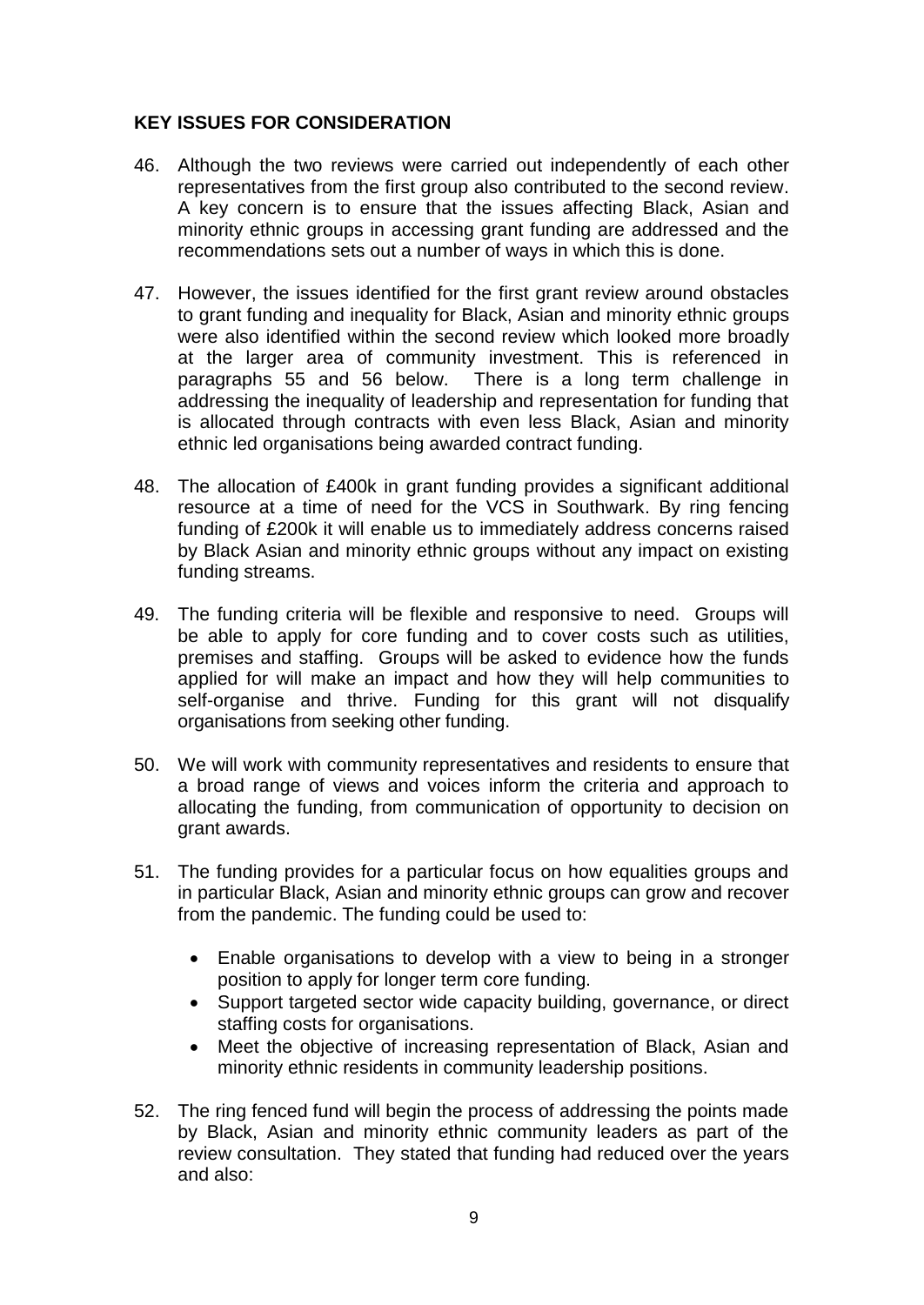### **KEY ISSUES FOR CONSIDERATION**

- 46. Although the two reviews were carried out independently of each other representatives from the first group also contributed to the second review. A key concern is to ensure that the issues affecting Black, Asian and minority ethnic groups in accessing grant funding are addressed and the recommendations sets out a number of ways in which this is done.
- 47. However, the issues identified for the first grant review around obstacles to grant funding and inequality for Black, Asian and minority ethnic groups were also identified within the second review which looked more broadly at the larger area of community investment. This is referenced in paragraphs 55 and 56 below. There is a long term challenge in addressing the inequality of leadership and representation for funding that is allocated through contracts with even less Black, Asian and minority ethnic led organisations being awarded contract funding.
- 48. The allocation of £400k in grant funding provides a significant additional resource at a time of need for the VCS in Southwark. By ring fencing funding of £200k it will enable us to immediately address concerns raised by Black Asian and minority ethnic groups without any impact on existing funding streams.
- 49. The funding criteria will be flexible and responsive to need. Groups will be able to apply for core funding and to cover costs such as utilities, premises and staffing. Groups will be asked to evidence how the funds applied for will make an impact and how they will help communities to self-organise and thrive. Funding for this grant will not disqualify organisations from seeking other funding.
- 50. We will work with community representatives and residents to ensure that a broad range of views and voices inform the criteria and approach to allocating the funding, from communication of opportunity to decision on grant awards.
- 51. The funding provides for a particular focus on how equalities groups and in particular Black, Asian and minority ethnic groups can grow and recover from the pandemic. The funding could be used to:
	- Enable organisations to develop with a view to being in a stronger position to apply for longer term core funding.
	- Support targeted sector wide capacity building, governance, or direct staffing costs for organisations.
	- Meet the objective of increasing representation of Black, Asian and minority ethnic residents in community leadership positions.
- 52. The ring fenced fund will begin the process of addressing the points made by Black, Asian and minority ethnic community leaders as part of the review consultation. They stated that funding had reduced over the years and also: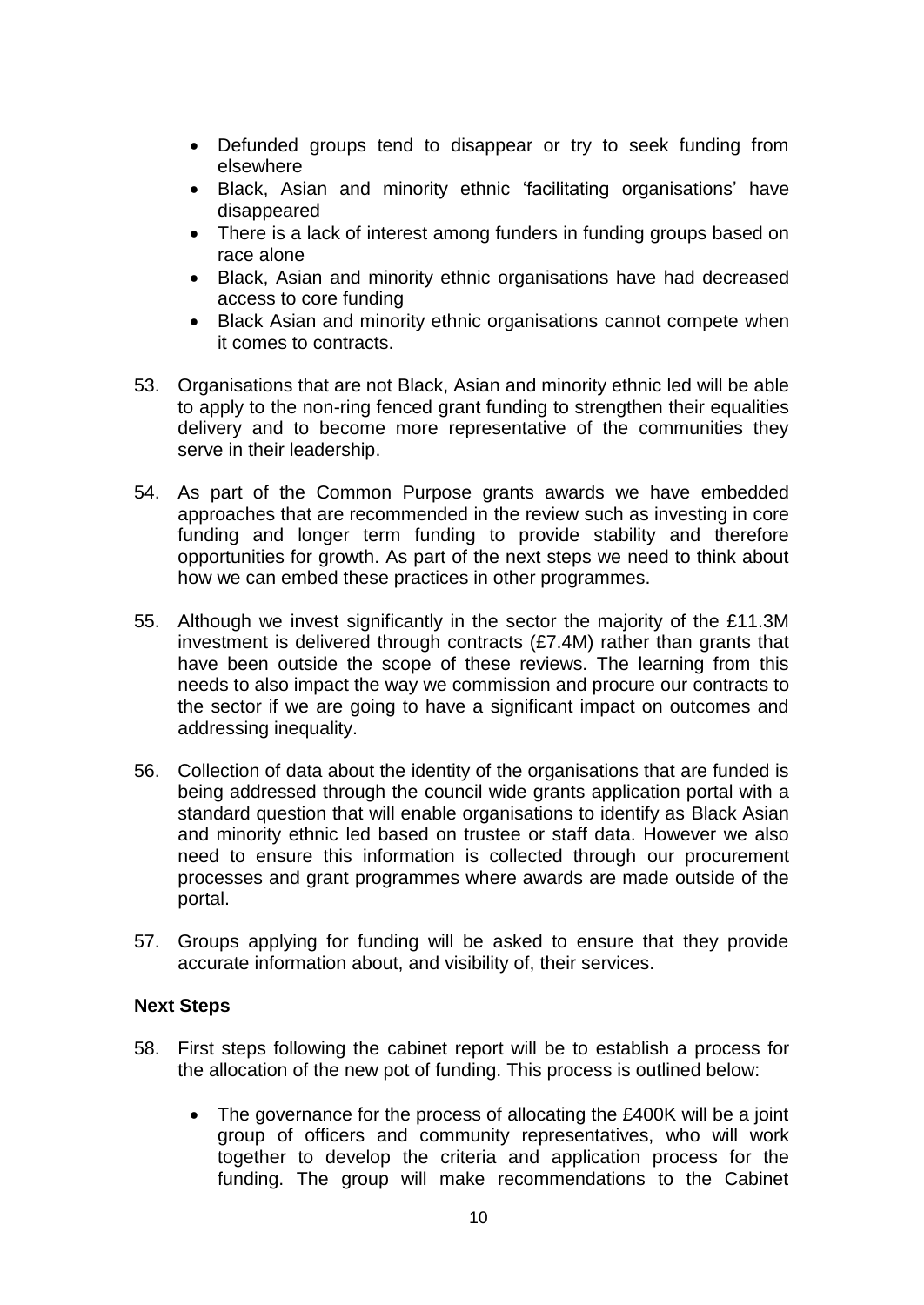- Defunded groups tend to disappear or try to seek funding from elsewhere
- Black, Asian and minority ethnic 'facilitating organisations' have disappeared
- There is a lack of interest among funders in funding groups based on race alone
- Black, Asian and minority ethnic organisations have had decreased access to core funding
- Black Asian and minority ethnic organisations cannot compete when it comes to contracts.
- 53. Organisations that are not Black, Asian and minority ethnic led will be able to apply to the non-ring fenced grant funding to strengthen their equalities delivery and to become more representative of the communities they serve in their leadership.
- 54. As part of the Common Purpose grants awards we have embedded approaches that are recommended in the review such as investing in core funding and longer term funding to provide stability and therefore opportunities for growth. As part of the next steps we need to think about how we can embed these practices in other programmes.
- 55. Although we invest significantly in the sector the majority of the £11.3M investment is delivered through contracts (£7.4M) rather than grants that have been outside the scope of these reviews. The learning from this needs to also impact the way we commission and procure our contracts to the sector if we are going to have a significant impact on outcomes and addressing inequality.
- 56. Collection of data about the identity of the organisations that are funded is being addressed through the council wide grants application portal with a standard question that will enable organisations to identify as Black Asian and minority ethnic led based on trustee or staff data. However we also need to ensure this information is collected through our procurement processes and grant programmes where awards are made outside of the portal.
- 57. Groups applying for funding will be asked to ensure that they provide accurate information about, and visibility of, their services.

### **Next Steps**

- 58. First steps following the cabinet report will be to establish a process for the allocation of the new pot of funding. This process is outlined below:
	- The governance for the process of allocating the £400K will be a joint group of officers and community representatives, who will work together to develop the criteria and application process for the funding. The group will make recommendations to the Cabinet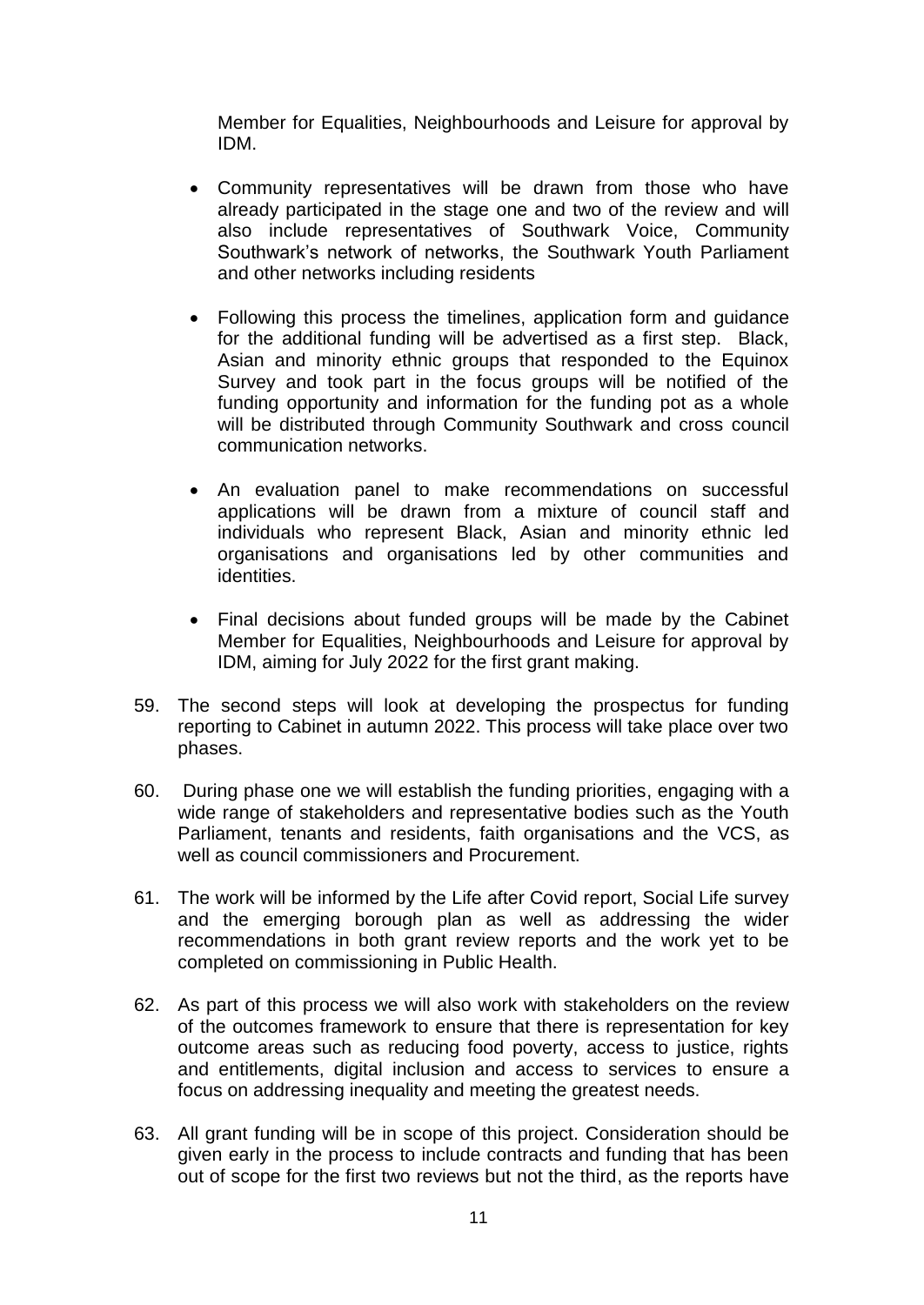Member for Equalities, Neighbourhoods and Leisure for approval by IDM.

- Community representatives will be drawn from those who have already participated in the stage one and two of the review and will also include representatives of Southwark Voice, Community Southwark's network of networks, the Southwark Youth Parliament and other networks including residents
- Following this process the timelines, application form and guidance for the additional funding will be advertised as a first step. Black, Asian and minority ethnic groups that responded to the Equinox Survey and took part in the focus groups will be notified of the funding opportunity and information for the funding pot as a whole will be distributed through Community Southwark and cross council communication networks.
- An evaluation panel to make recommendations on successful applications will be drawn from a mixture of council staff and individuals who represent Black, Asian and minority ethnic led organisations and organisations led by other communities and identities.
- Final decisions about funded groups will be made by the Cabinet Member for Equalities, Neighbourhoods and Leisure for approval by IDM, aiming for July 2022 for the first grant making.
- 59. The second steps will look at developing the prospectus for funding reporting to Cabinet in autumn 2022. This process will take place over two phases.
- 60. During phase one we will establish the funding priorities, engaging with a wide range of stakeholders and representative bodies such as the Youth Parliament, tenants and residents, faith organisations and the VCS, as well as council commissioners and Procurement.
- 61. The work will be informed by the Life after Covid report, Social Life survey and the emerging borough plan as well as addressing the wider recommendations in both grant review reports and the work yet to be completed on commissioning in Public Health.
- 62. As part of this process we will also work with stakeholders on the review of the outcomes framework to ensure that there is representation for key outcome areas such as reducing food poverty, access to justice, rights and entitlements, digital inclusion and access to services to ensure a focus on addressing inequality and meeting the greatest needs.
- 63. All grant funding will be in scope of this project. Consideration should be given early in the process to include contracts and funding that has been out of scope for the first two reviews but not the third, as the reports have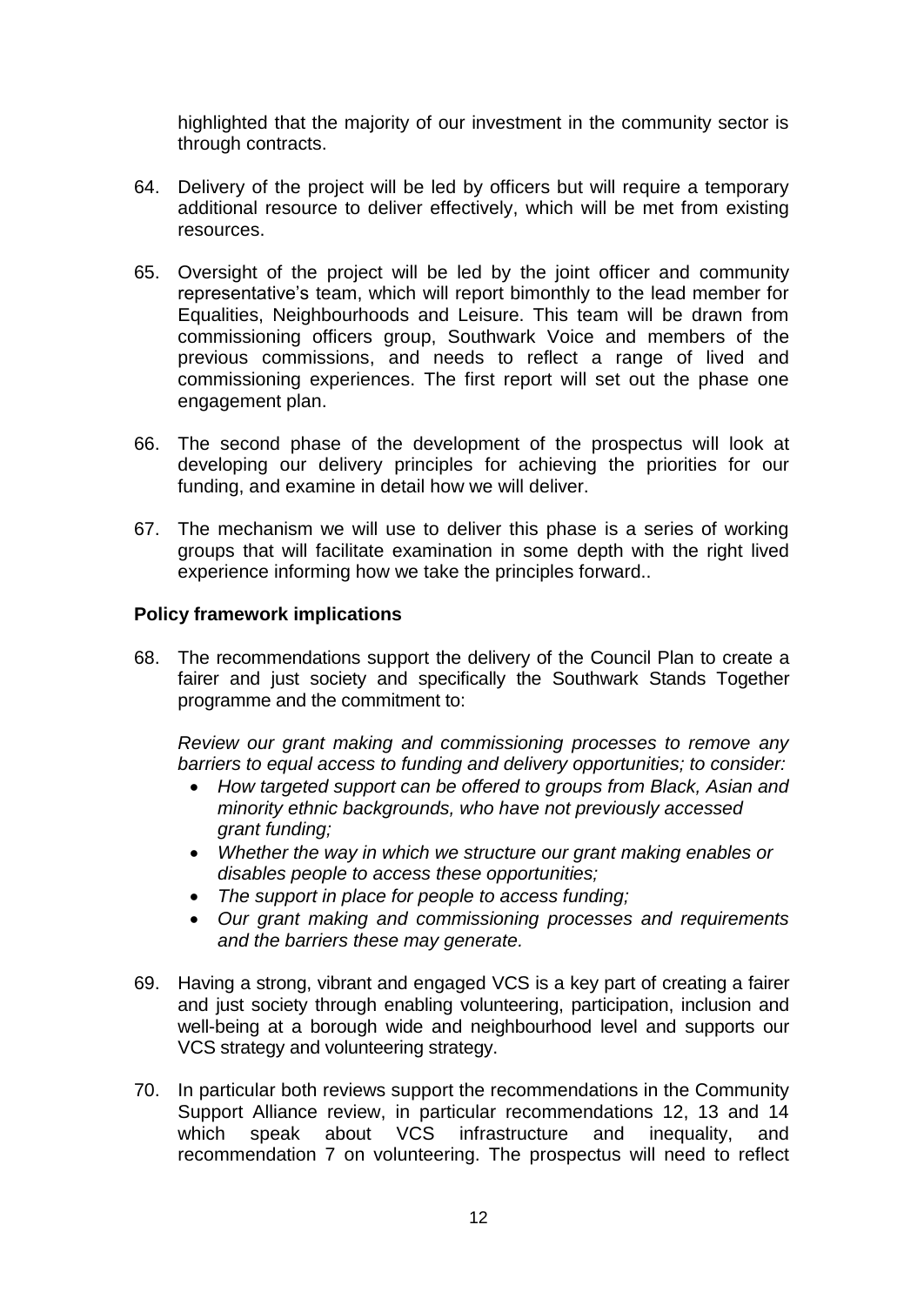highlighted that the majority of our investment in the community sector is through contracts.

- 64. Delivery of the project will be led by officers but will require a temporary additional resource to deliver effectively, which will be met from existing resources.
- 65. Oversight of the project will be led by the joint officer and community representative's team, which will report bimonthly to the lead member for Equalities, Neighbourhoods and Leisure. This team will be drawn from commissioning officers group, Southwark Voice and members of the previous commissions, and needs to reflect a range of lived and commissioning experiences. The first report will set out the phase one engagement plan.
- 66. The second phase of the development of the prospectus will look at developing our delivery principles for achieving the priorities for our funding, and examine in detail how we will deliver.
- 67. The mechanism we will use to deliver this phase is a series of working groups that will facilitate examination in some depth with the right lived experience informing how we take the principles forward..

### **Policy framework implications**

68. The recommendations support the delivery of the Council Plan to create a fairer and just society and specifically the Southwark Stands Together programme and the commitment to:

*Review our grant making and commissioning processes to remove any barriers to equal access to funding and delivery opportunities; to consider:*

- *How targeted support can be offered to groups from Black, Asian and minority ethnic backgrounds, who have not previously accessed grant funding;*
- *Whether the way in which we structure our grant making enables or disables people to access these opportunities;*
- *The support in place for people to access funding;*
- *Our grant making and commissioning processes and requirements and the barriers these may generate.*
- 69. Having a strong, vibrant and engaged VCS is a key part of creating a fairer and just society through enabling volunteering, participation, inclusion and well-being at a borough wide and neighbourhood level and supports our VCS strategy and volunteering strategy.
- 70. In particular both reviews support the recommendations in the Community Support Alliance review, in particular recommendations 12, 13 and 14 which speak about VCS infrastructure and inequality, and recommendation 7 on volunteering. The prospectus will need to reflect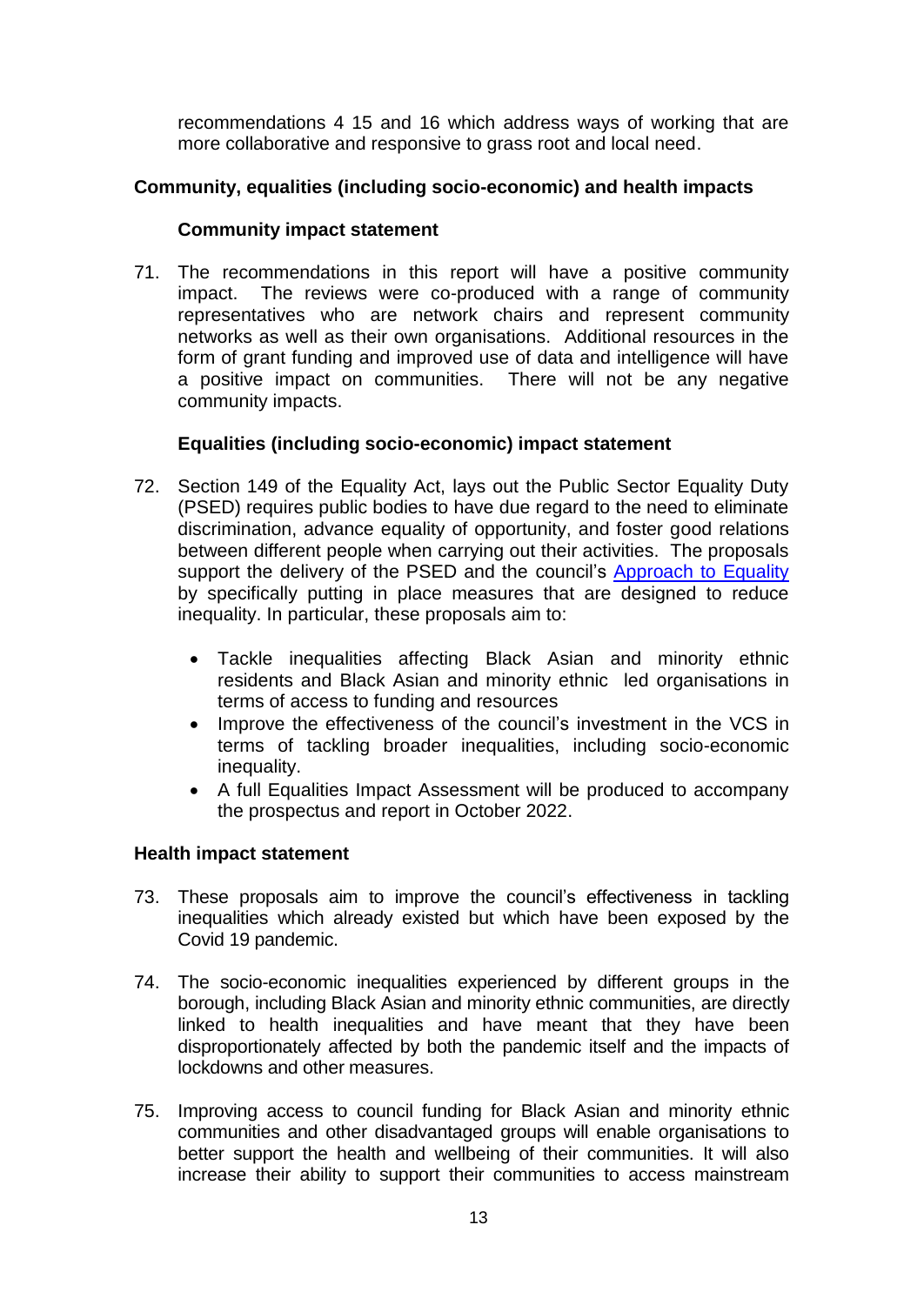recommendations 4 15 and 16 which address ways of working that are more collaborative and responsive to grass root and local need.

## **Community, equalities (including socio-economic) and health impacts**

### **Community impact statement**

71. The recommendations in this report will have a positive community impact. The reviews were co-produced with a range of community representatives who are network chairs and represent community networks as well as their own organisations. Additional resources in the form of grant funding and improved use of data and intelligence will have a positive impact on communities. There will not be any negative community impacts.

### **Equalities (including socio-economic) impact statement**

- 72. Section 149 of the Equality Act, lays out the Public Sector Equality Duty (PSED) requires public bodies to have due regard to the need to eliminate discrimination, advance equality of opportunity, and foster good relations between different people when carrying out their activities. The proposals support the delivery of the PSED and the council's [Approach to Equality](http://www.southwark.gov.uk/info/200527/equality_and_diversity) by specifically putting in place measures that are designed to reduce inequality. In particular, these proposals aim to:
	- Tackle inequalities affecting Black Asian and minority ethnic residents and Black Asian and minority ethnic led organisations in terms of access to funding and resources
	- Improve the effectiveness of the council's investment in the VCS in terms of tackling broader inequalities, including socio-economic inequality.
	- A full Equalities Impact Assessment will be produced to accompany the prospectus and report in October 2022.

### **Health impact statement**

- 73. These proposals aim to improve the council's effectiveness in tackling inequalities which already existed but which have been exposed by the Covid 19 pandemic.
- 74. The socio-economic inequalities experienced by different groups in the borough, including Black Asian and minority ethnic communities, are directly linked to health inequalities and have meant that they have been disproportionately affected by both the pandemic itself and the impacts of lockdowns and other measures.
- 75. Improving access to council funding for Black Asian and minority ethnic communities and other disadvantaged groups will enable organisations to better support the health and wellbeing of their communities. It will also increase their ability to support their communities to access mainstream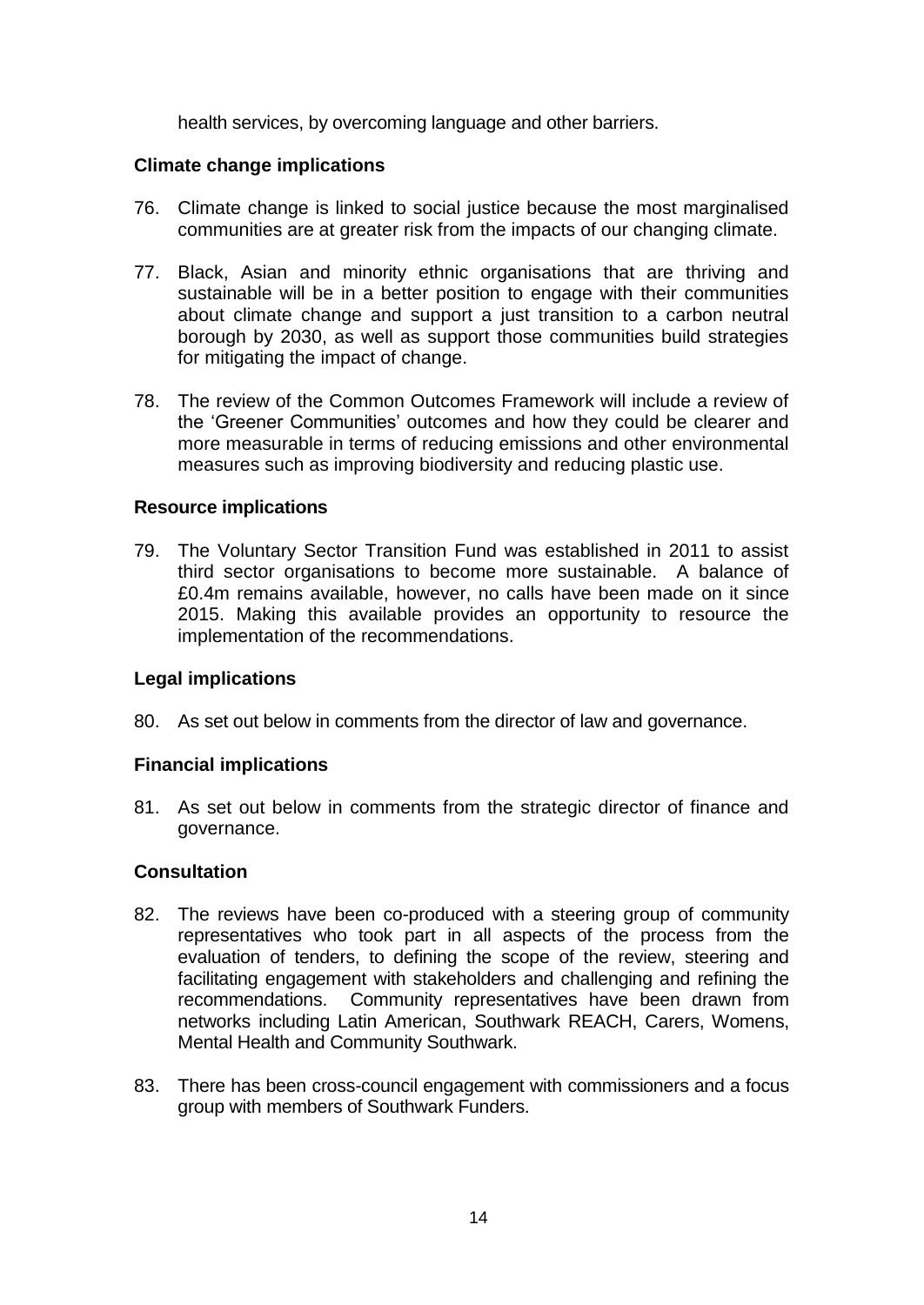health services, by overcoming language and other barriers.

#### **Climate change implications**

- 76. Climate change is linked to social justice because the most marginalised communities are at greater risk from the impacts of our changing climate.
- 77. Black, Asian and minority ethnic organisations that are thriving and sustainable will be in a better position to engage with their communities about climate change and support a just transition to a carbon neutral borough by 2030, as well as support those communities build strategies for mitigating the impact of change.
- 78. The review of the Common Outcomes Framework will include a review of the 'Greener Communities' outcomes and how they could be clearer and more measurable in terms of reducing emissions and other environmental measures such as improving biodiversity and reducing plastic use.

#### **Resource implications**

79. The Voluntary Sector Transition Fund was established in 2011 to assist third sector organisations to become more sustainable. A balance of £0.4m remains available, however, no calls have been made on it since 2015. Making this available provides an opportunity to resource the implementation of the recommendations.

### **Legal implications**

80. As set out below in comments from the director of law and governance.

#### **Financial implications**

81. As set out below in comments from the strategic director of finance and governance.

#### **Consultation**

- 82. The reviews have been co-produced with a steering group of community representatives who took part in all aspects of the process from the evaluation of tenders, to defining the scope of the review, steering and facilitating engagement with stakeholders and challenging and refining the recommendations. Community representatives have been drawn from networks including Latin American, Southwark REACH, Carers, Womens, Mental Health and Community Southwark.
- 83. There has been cross-council engagement with commissioners and a focus group with members of Southwark Funders.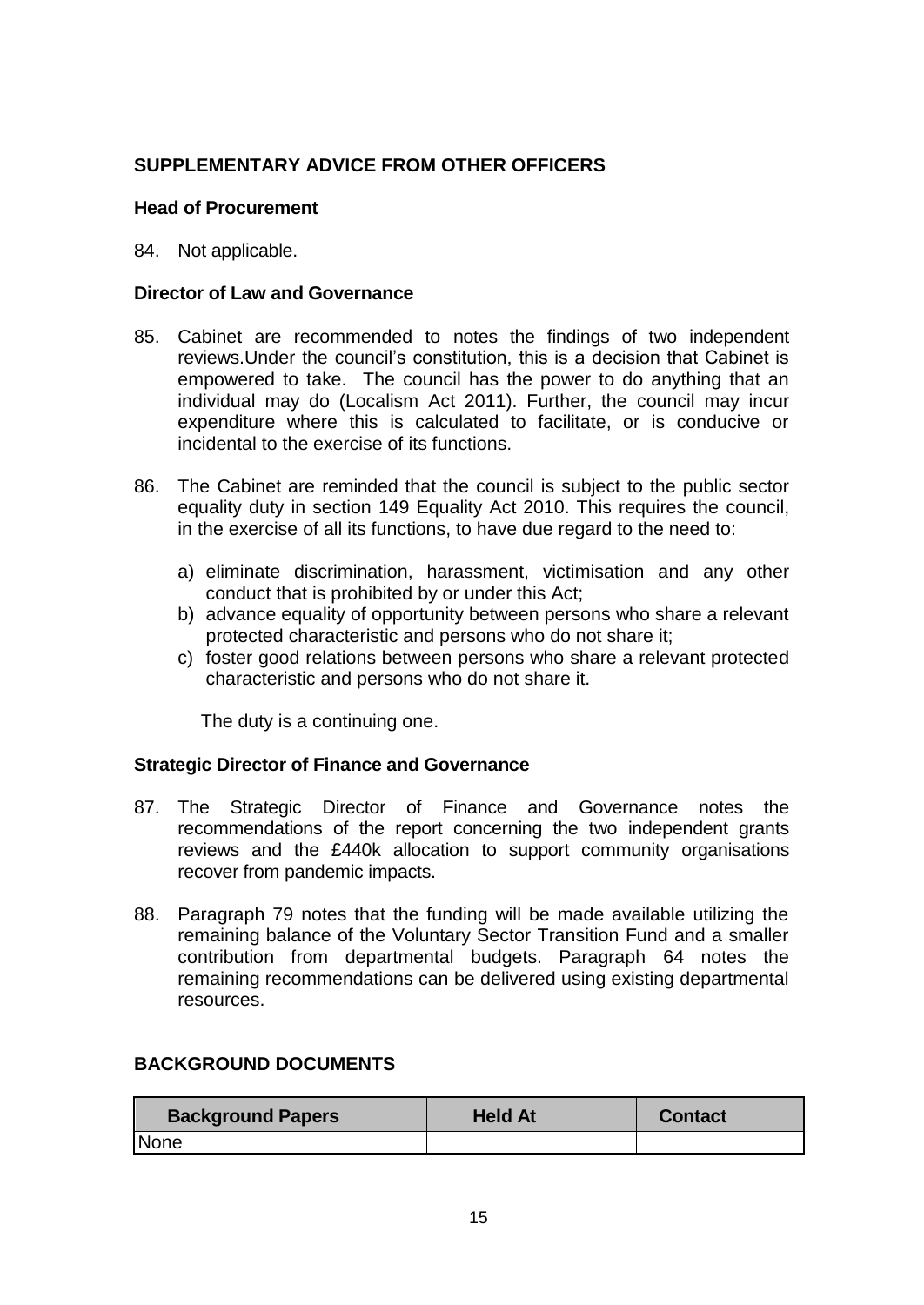## **SUPPLEMENTARY ADVICE FROM OTHER OFFICERS**

### **Head of Procurement**

### 84. Not applicable.

### **Director of Law and Governance**

- 85. Cabinet are recommended to notes the findings of two independent reviews.Under the council's constitution, this is a decision that Cabinet is empowered to take. The council has the power to do anything that an individual may do (Localism Act 2011). Further, the council may incur expenditure where this is calculated to facilitate, or is conducive or incidental to the exercise of its functions.
- 86. The Cabinet are reminded that the council is subject to the public sector equality duty in section 149 Equality Act 2010. This requires the council, in the exercise of all its functions, to have due regard to the need to:
	- a) eliminate discrimination, harassment, victimisation and any other conduct that is prohibited by or under this Act;
	- b) advance equality of opportunity between persons who share a relevant protected characteristic and persons who do not share it;
	- c) foster good relations between persons who share a relevant protected characteristic and persons who do not share it.

The duty is a continuing one.

### **Strategic Director of Finance and Governance**

- 87. The Strategic Director of Finance and Governance notes the recommendations of the report concerning the two independent grants reviews and the £440k allocation to support community organisations recover from pandemic impacts.
- 88. Paragraph 79 notes that the funding will be made available utilizing the remaining balance of the Voluntary Sector Transition Fund and a smaller contribution from departmental budgets. Paragraph 64 notes the remaining recommendations can be delivered using existing departmental resources.

## **BACKGROUND DOCUMENTS**

| <b>Background Papers</b> | <b>Held At</b> | <b>Contact</b> |
|--------------------------|----------------|----------------|
| None                     |                |                |